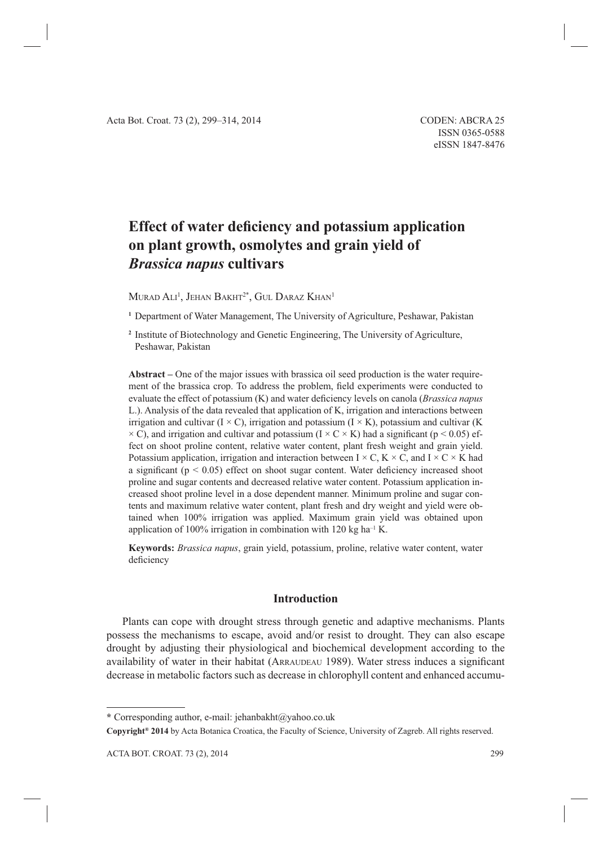# **Effect of water deficiency and potassium application on plant growth, osmolytes and grain yield of**  *Brassica napus* **cultivars**

 $M$ urad Ali<sup>1</sup>, Jehan Bakht $^{2^*},$  Gul Daraz Khan $^1$ 

**<sup>1</sup>**Department of Water Management, The University of Agriculture, Peshawar, Pakistan

**<sup>2</sup>**Institute of Biotechnology and Genetic Engineering, The University of Agriculture, Peshawar, Pakistan

**Abstract –** One of the major issues with brassica oil seed production is the water requirement of the brassica crop. To address the problem, field experiments were conducted to evaluate the effect of potassium (K) and water deficiency levels on canola (*Brassica napus* L.). Analysis of the data revealed that application of K, irrigation and interactions between irrigation and cultivar ( $I \times C$ ), irrigation and potassium ( $I \times K$ ), potassium and cultivar (K)  $\times$  C), and irrigation and cultivar and potassium (I  $\times$  C  $\times$  K) had a significant (p  $\leq$  0.05) effect on shoot proline content, relative water content, plant fresh weight and grain yield. Potassium application, irrigation and interaction between  $I \times C$ ,  $K \times C$ , and  $I \times C \times K$  had a significant ( $p < 0.05$ ) effect on shoot sugar content. Water deficiency increased shoot proline and sugar contents and decreased relative water content. Potassium application increased shoot proline level in a dose dependent manner. Minimum proline and sugar contents and maximum relative water content, plant fresh and dry weight and yield were obtained when 100% irrigation was applied. Maximum grain yield was obtained upon application of 100% irrigation in combination with 120 kg ha<sup>-1</sup> K.

**Keywords:** *Brassica napus*, grain yield, potassium, proline, relative water content, water deficiency

## **Introduction**

Plants can cope with drought stress through genetic and adaptive mechanisms. Plants possess the mechanisms to escape, avoid and/or resist to drought. They can also escape drought by adjusting their physiological and biochemical development according to the availability of water in their habitat (ARRAUDEAU 1989). Water stress induces a significant decrease in metabolic factors such as decrease in chlorophyll content and enhanced accumu-

**<sup>\*</sup>** Corresponding author, e-mail: jehanbakht@yahoo.co.uk

**Copyright® 2014** by Acta Botanica Croatica, the Faculty of Science, University of Zagreb. All rights reserved.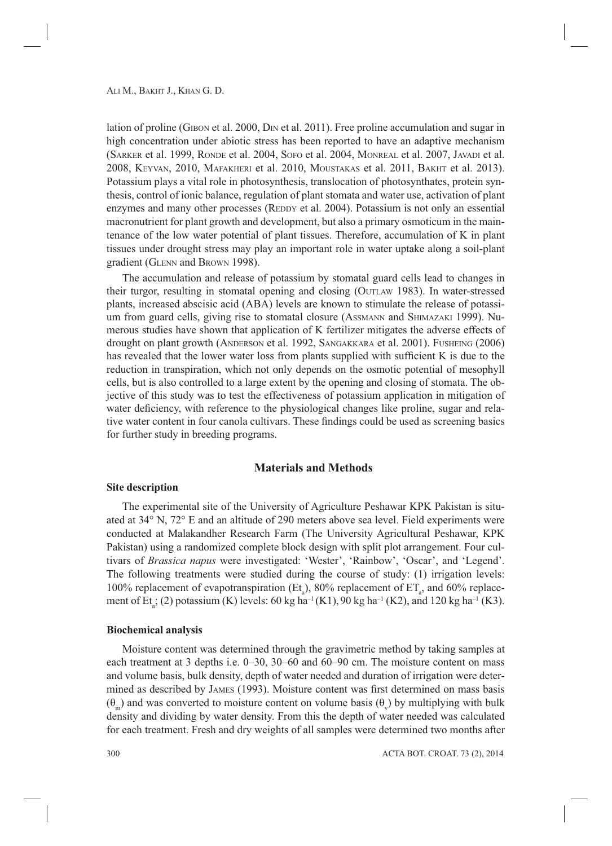lation of proline (GIBON et al. 2000, DIN et al. 2011). Free proline accumulation and sugar in high concentration under abiotic stress has been reported to have an adaptive mechanism (SARKER et al. 1999, RONDE et al. 2004, SOFO et al. 2004, MONREAL et al. 2007, JAVADI et al. 2008, KEYVAN, 2010, MAFAKHERI et al. 2010, MOUSTAKAS et al. 2011, BAKHT et al. 2013). Potassium plays a vital role in photosynthesis, translocation of photosynthates, protein synthesis, control of ionic balance, regulation of plant stomata and water use, activation of plant enzymes and many other processes (REDDY et al. 2004). Potassium is not only an essential macronutrient for plant growth and development, but also a primary osmoticum in the maintenance of the low water potential of plant tissues. Therefore, accumulation of K in plant tissues under drought stress may play an important role in water uptake along a soil-plant gradient (GLENN and BROWN 1998).

The accumulation and release of potassium by stomatal guard cells lead to changes in their turgor, resulting in stomatal opening and closing (OUTLAW 1983). In water-stressed plants, increased abscisic acid (ABA) levels are known to stimulate the release of potassium from guard cells, giving rise to stomatal closure (ASSMANN and SHIMAZAKI 1999). Numerous studies have shown that application of K fertilizer mitigates the adverse effects of drought on plant growth (ANDERSON et al. 1992, SANGAKKARA et al. 2001). FUSHEING (2006) has revealed that the lower water loss from plants supplied with sufficient K is due to the reduction in transpiration, which not only depends on the osmotic potential of mesophyll cells, but is also controlled to a large extent by the opening and closing of stomata. The objective of this study was to test the effectiveness of potassium application in mitigation of water deficiency, with reference to the physiological changes like proline, sugar and relative water content in four canola cultivars. These findings could be used as screening basics for further study in breeding programs.

## **Materials and Methods**

#### **Site description**

The experimental site of the University of Agriculture Peshawar KPK Pakistan is situated at 34° N, 72° E and an altitude of 290 meters above sea level. Field experiments were conducted at Malakandher Research Farm (The University Agricultural Peshawar, KPK Pakistan) using a randomized complete block design with split plot arrangement. Four cultivars of *Brassica napus* were investigated: 'Wester', 'Rainbow', 'Oscar', and 'Legend'. The following treatments were studied during the course of study: (1) irrigation levels: 100% replacement of evapotranspiration (Et<sub>a</sub>), 80% replacement of ET<sub>a</sub>, and 60% replacement of Et<sub>a</sub>; (2) potassium (K) levels: 60 kg ha<sup>-1</sup> (K1), 90 kg ha<sup>-1</sup> (K2), and 120 kg ha<sup>-1</sup> (K3).

#### **Biochemical analysis**

Moisture content was determined through the gravimetric method by taking samples at each treatment at 3 depths i.e. 0–30, 30–60 and 60–90 cm. The moisture content on mass and volume basis, bulk density, depth of water needed and duration of irrigation were determined as described by JAMES (1993). Moisture content was first determined on mass basis  $(\theta_m)$  and was converted to moisture content on volume basis  $(\theta_v)$  by multiplying with bulk density and dividing by water density. From this the depth of water needed was calculated for each treatment. Fresh and dry weights of all samples were determined two months after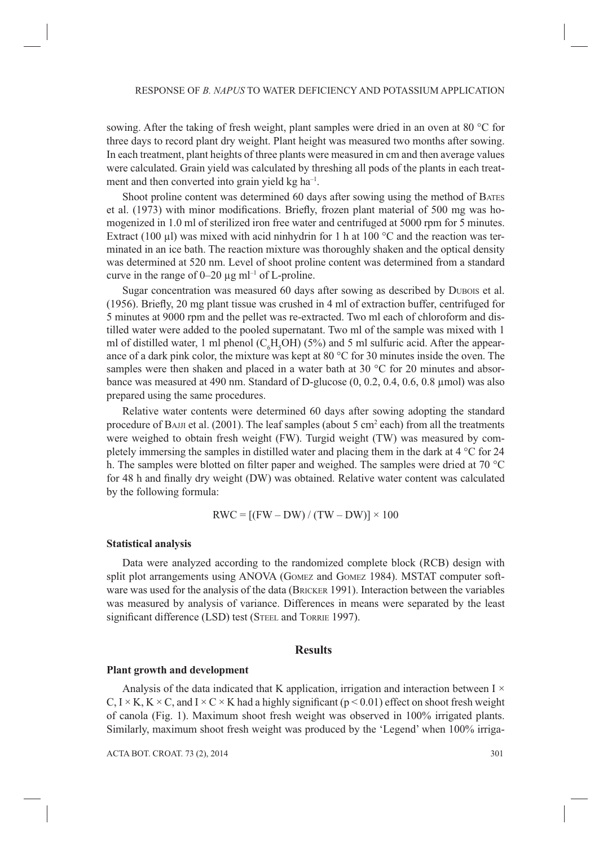sowing. After the taking of fresh weight, plant samples were dried in an oven at 80 °C for three days to record plant dry weight. Plant height was measured two months after sowing. In each treatment, plant heights of three plants were measured in cm and then average values were calculated. Grain yield was calculated by threshing all pods of the plants in each treatment and then converted into grain yield kg ha<sup>-1</sup>.

Shoot proline content was determined 60 days after sowing using the method of BATES et al. (1973) with minor modifications. Briefly, frozen plant material of 500 mg was homogenized in 1.0 ml of sterilized iron free water and centrifuged at 5000 rpm for 5 minutes. Extract (100  $\mu$ ) was mixed with acid ninhydrin for 1 h at 100 °C and the reaction was terminated in an ice bath. The reaction mixture was thoroughly shaken and the optical density was determined at 520 nm. Level of shoot proline content was determined from a standard curve in the range of  $0-20 \mu g$  ml<sup>-1</sup> of L-proline.

Sugar concentration was measured 60 days after sowing as described by DUBOIS et al.  $(1956)$ . Briefly, 20 mg plant tissue was crushed in 4 ml of extraction buffer, centrifuged for 5 minutes at 9000 rpm and the pellet was re-extracted. Two ml each of chloroform and distilled water were added to the pooled supernatant. Two ml of the sample was mixed with 1 ml of distilled water, 1 ml phenol ( $C_6H_5OH$ ) (5%) and 5 ml sulfuric acid. After the appearance of a dark pink color, the mixture was kept at 80 °C for 30 minutes inside the oven. The samples were then shaken and placed in a water bath at 30  $\degree$ C for 20 minutes and absorbance was measured at 490 nm. Standard of D-glucose  $(0, 0.2, 0.4, 0.6, 0.8 \mu m$ ol) was also prepared using the same procedures.

Relative water contents were determined 60 days after sowing adopting the standard procedure of BAJJI et al.  $(2001)$ . The leaf samples (about 5 cm<sup>2</sup> each) from all the treatments were weighed to obtain fresh weight (FW). Turgid weight (TW) was measured by completely immersing the samples in distilled water and placing them in the dark at 4 °C for 24 h. The samples were blotted on filter paper and weighed. The samples were dried at 70  $^{\circ}$ C for 48 h and finally dry weight (DW) was obtained. Relative water content was calculated by the following formula:

$$
RWC = [(FW - DW) / (TW - DW)] \times 100
$$

#### **Statistical analysis**

Data were analyzed according to the randomized complete block (RCB) design with split plot arrangements using ANOVA (GOMEZ and GOMEZ 1984). MSTAT computer software was used for the analysis of the data (BRICKER 1991). Interaction between the variables was measured by analysis of variance. Differences in means were separated by the least significant difference (LSD) test (STEEL and TORRIE 1997).

### **Results**

#### **Plant growth and development**

Analysis of the data indicated that K application, irrigation and interaction between  $I \times$  $C, I \times K, K \times C$ , and  $I \times C \times K$  had a highly significant (p < 0.01) effect on shoot fresh weight of canola (Fig. 1). Maximum shoot fresh weight was observed in 100% irrigated plants. Similarly, maximum shoot fresh weight was produced by the 'Legend' when 100% irriga-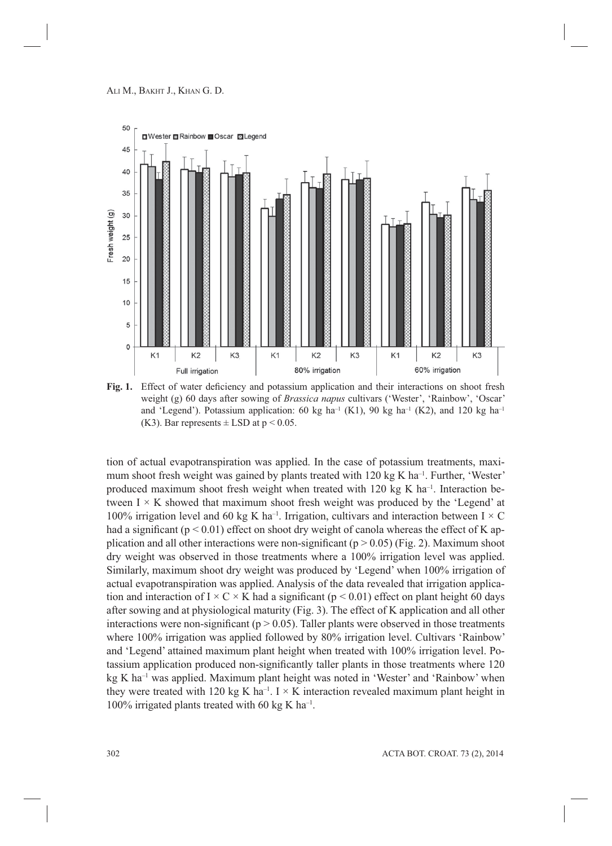

Fig. 1. Effect of water deficiency and potassium application and their interactions on shoot fresh weight (g) 60 days after sowing of *Brassica napus* cultivars ('Wester', 'Rainbow', 'Oscar' and 'Legend'). Potassium application: 60 kg ha<sup>-1</sup> (K1), 90 kg ha<sup>-1</sup> (K2), and 120 kg ha<sup>-1</sup> (K3). Bar represents  $\pm$  LSD at  $p < 0.05$ .

tion of actual evapotranspiration was applied. In the case of potassium treatments, maximum shoot fresh weight was gained by plants treated with 120 kg K ha<sup>-1</sup>. Further, 'Wester' produced maximum shoot fresh weight when treated with  $120 \text{ kg K}$  ha<sup>-1</sup>. Interaction between  $I \times K$  showed that maximum shoot fresh weight was produced by the 'Legend' at 100% irrigation level and 60 kg K ha<sup>-1</sup>. Irrigation, cultivars and interaction between  $I \times C$ had a significant ( $p < 0.01$ ) effect on shoot dry weight of canola whereas the effect of K application and all other interactions were non-significant ( $p > 0.05$ ) (Fig. 2). Maximum shoot dry weight was observed in those treatments where a 100% irrigation level was applied. Similarly, maximum shoot dry weight was produced by 'Legend' when 100% irrigation of actual evapotranspiration was applied. Analysis of the data revealed that irrigation application and interaction of  $I \times C \times K$  had a significant ( $p \le 0.01$ ) effect on plant height 60 days after sowing and at physiological maturity (Fig. 3). The effect of K application and all other interactions were non-significant ( $p > 0.05$ ). Taller plants were observed in those treatments where 100% irrigation was applied followed by 80% irrigation level. Cultivars 'Rainbow' and 'Legend' attained maximum plant height when treated with 100% irrigation level. Potassium application produced non-significantly taller plants in those treatments where 120 kg K ha<sup>-1</sup> was applied. Maximum plant height was noted in 'Wester' and 'Rainbow' when they were treated with 120 kg K ha<sup>-1</sup>. I  $\times$  K interaction revealed maximum plant height in 100% irrigated plants treated with 60 kg K ha<sup>-1</sup>.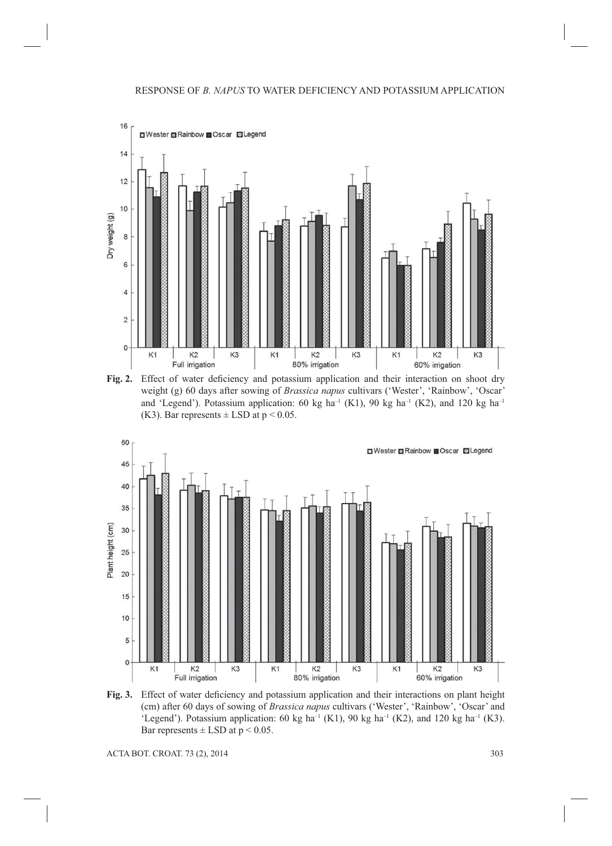

Fig. 2. Effect of water deficiency and potassium application and their interaction on shoot dry weight (g) 60 days after sowing of *Brassica napus* cultivars ('Wester', 'Rainbow', 'Oscar' and 'Legend'). Potassium application: 60 kg ha<sup>-1</sup> (K1), 90 kg ha<sup>-1</sup> (K2), and 120 kg ha<sup>-1</sup> (K3). Bar represents  $\pm$  LSD at  $p < 0.05$ .



Fig. 3. Effect of water deficiency and potassium application and their interactions on plant height (cm) after 60 days of sowing of *Brassica napus* cultivars ('Wester', 'Rainbow', 'Oscar' and 'Legend'). Potassium application: 60 kg ha<sup>-1</sup> (K1), 90 kg ha<sup>-1</sup> (K2), and 120 kg ha<sup>-1</sup> (K3). Bar represents  $\pm$  LSD at  $p < 0.05$ .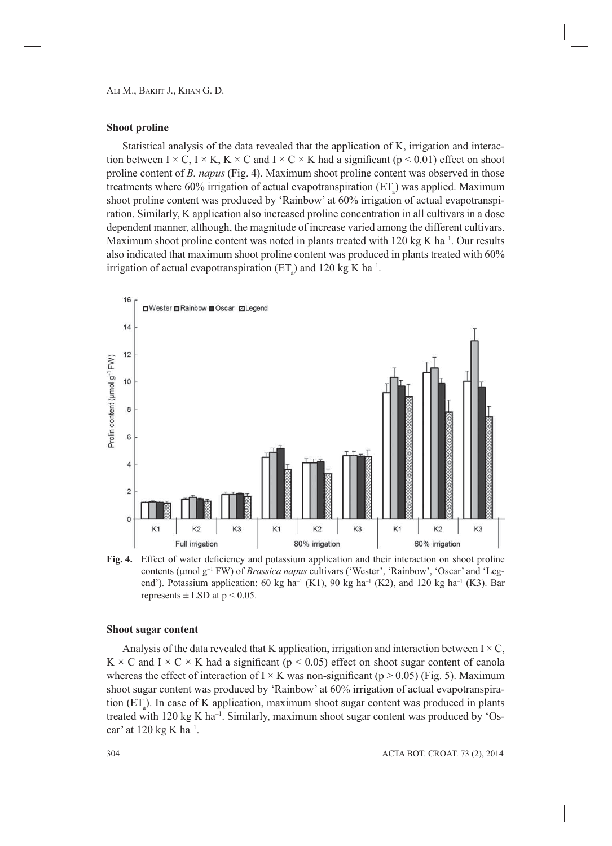ALI M., BAKHT J., KHAN G. D.

#### **Shoot proline**

Statistical analysis of the data revealed that the application of K, irrigation and interaction between I  $\times$  C, I  $\times$  K, K  $\times$  C and I  $\times$  C  $\times$  K had a significant (p < 0.01) effect on shoot proline content of *B. napus* (Fig. 4). Maximum shoot proline content was observed in those treatments where  $60\%$  irrigation of actual evapotranspiration  $(ET_a)$  was applied. Maximum shoot proline content was produced by 'Rainbow' at 60% irrigation of actual evapotranspiration. Similarly, K application also increased proline concentration in all cultivars in a dose dependent manner, although, the magnitude of increase varied among the different cultivars. Maximum shoot proline content was noted in plants treated with  $120 \text{ kg K}$  ha<sup>-1</sup>. Our results also indicated that maximum shoot proline content was produced in plants treated with 60% irrigation of actual evapotranspiration  $(ET_a)$  and 120 kg K ha<sup>-1</sup>.



Fig. 4. Effect of water deficiency and potassium application and their interaction on shoot proline contents (μmol g–1 FW) of *Brassica napus* cultivars ('Wester', 'Rainbow', 'Oscar' and 'Legend'). Potassium application: 60 kg ha<sup>-1</sup> (K1), 90 kg ha<sup>-1</sup> (K2), and 120 kg ha<sup>-1</sup> (K3). Bar represents  $\pm$  LSD at  $p < 0.05$ .

#### **Shoot sugar content**

Analysis of the data revealed that K application, irrigation and interaction between  $I \times C$ ,  $K \times C$  and  $I \times C \times K$  had a significant (p < 0.05) effect on shoot sugar content of canola whereas the effect of interaction of I  $\times$  K was non-significant (p  $> 0.05$ ) (Fig. 5). Maximum shoot sugar content was produced by 'Rainbow' at 60% irrigation of actual evapotranspiration  $(ET_a)$ . In case of K application, maximum shoot sugar content was produced in plants treated with 120 kg K ha<sup>-1</sup>. Similarly, maximum shoot sugar content was produced by 'Oscar' at 120 kg K ha–1.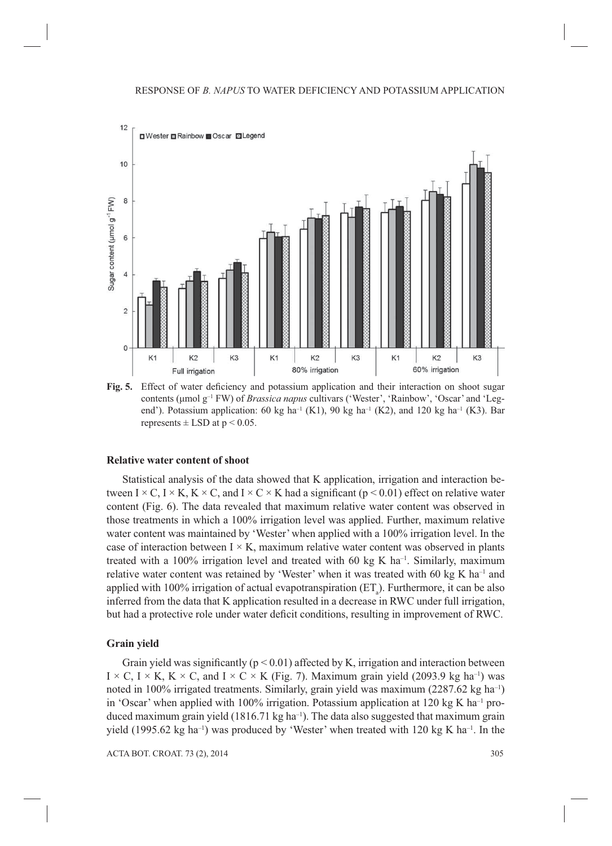

Fig. 5. Effect of water deficiency and potassium application and their interaction on shoot sugar contents (μmol g–1 FW) of *Brassica napus* cultivars ('Wester', 'Rainbow', 'Oscar' and 'Legend'). Potassium application: 60 kg ha<sup>-1</sup> (K1), 90 kg ha<sup>-1</sup> (K2), and 120 kg ha<sup>-1</sup> (K3). Bar represents  $\pm$  LSD at  $p \le 0.05$ .

#### **Relative water content of shoot**

Statistical analysis of the data showed that K application, irrigation and interaction between I  $\times$  C, I  $\times$  K, K  $\times$  C, and I  $\times$  C  $\times$  K had a significant (p  $\times$  0.01) effect on relative water content (Fig. 6). The data revealed that maximum relative water content was observed in those treatments in which a 100% irrigation level was applied. Further, maximum relative water content was maintained by 'Wester' when applied with a 100% irrigation level. In the case of interaction between  $I \times K$ , maximum relative water content was observed in plants treated with a 100% irrigation level and treated with 60 kg K ha<sup>-1</sup>. Similarly, maximum relative water content was retained by 'Wester' when it was treated with 60 kg K ha<sup>-1</sup> and applied with 100% irrigation of actual evapotranspiration  $(ET_a)$ . Furthermore, it can be also inferred from the data that K application resulted in a decrease in RWC under full irrigation, but had a protective role under water deficit conditions, resulting in improvement of RWC.

#### **Grain yield**

Grain yield was significantly ( $p < 0.01$ ) affected by K, irrigation and interaction between  $I \times C$ ,  $I \times K$ ,  $K \times C$ , and  $I \times C \times K$  (Fig. 7). Maximum grain yield (2093.9 kg ha<sup>-1</sup>) was noted in 100% irrigated treatments. Similarly, grain yield was maximum (2287.62 kg ha<sup>-1</sup>) in 'Oscar' when applied with 100% irrigation. Potassium application at 120 kg K ha<sup>-1</sup> produced maximum grain yield  $(1816.71 \text{ kg ha}^{-1})$ . The data also suggested that maximum grain yield (1995.62 kg ha<sup>-1</sup>) was produced by 'Wester' when treated with 120 kg K ha<sup>-1</sup>. In the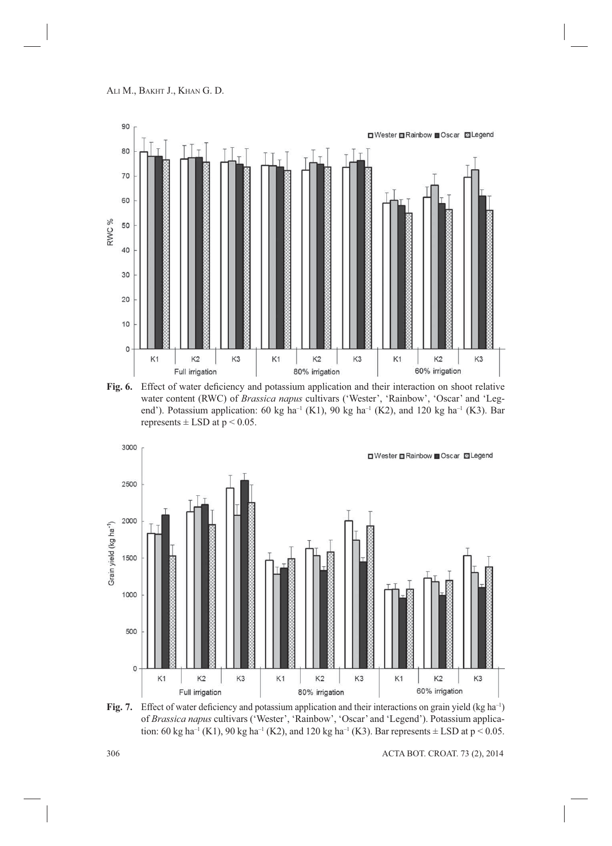

Fig. 6. Effect of water deficiency and potassium application and their interaction on shoot relative water content (RWC) of *Brassica napus* cultivars ('Wester', 'Rainbow', 'Oscar' and 'Legend'). Potassium application: 60 kg ha<sup>-1</sup> (K1), 90 kg ha<sup>-1</sup> (K2), and 120 kg ha<sup>-1</sup> (K3). Bar represents  $\pm$  LSD at  $p < 0.05$ .



**Fig. 7.** Effect of water deficiency and potassium application and their interactions on grain yield (kg ha<sup>-1</sup>) of *Brassica napus* cultivars ('Wester', 'Rainbow', 'Oscar' and 'Legend'). Potassium application: 60 kg ha<sup>-1</sup> (K1), 90 kg ha<sup>-1</sup> (K2), and 120 kg ha<sup>-1</sup> (K3). Bar represents  $\pm$  LSD at p < 0.05.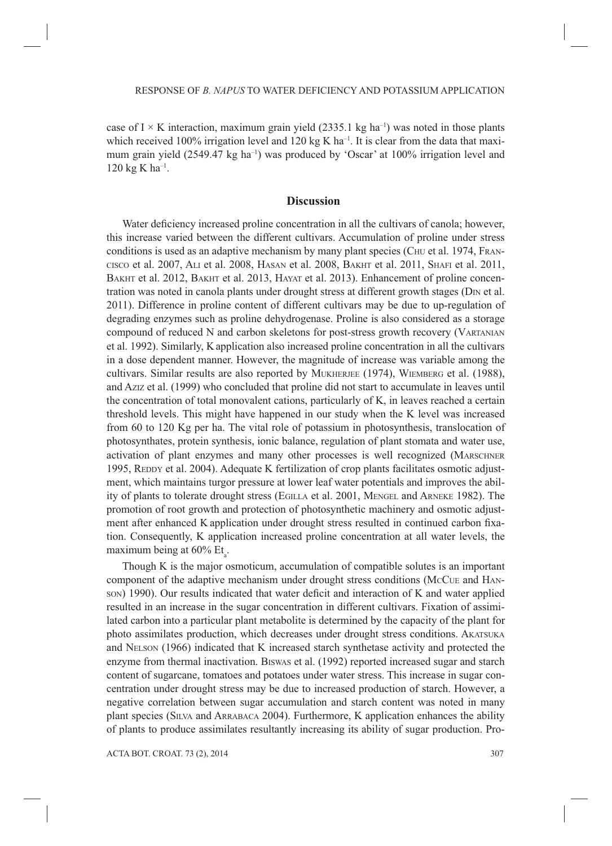case of I  $\times$  K interaction, maximum grain yield (2335.1 kg ha<sup>-1</sup>) was noted in those plants which received 100% irrigation level and 120 kg K ha<sup>-1</sup>. It is clear from the data that maximum grain yield  $(2549.47 \text{ kg ha}^{-1})$  was produced by 'Oscar' at  $100\%$  irrigation level and  $120 \text{ kg K} \text{ ha}^{-1}$ .

## **Discussion**

Water deficiency increased proline concentration in all the cultivars of canola; however, this increase varied between the different cultivars. Accumulation of proline under stress conditions is used as an adaptive mechanism by many plant species (C<sub>HU</sub> et al. 1974, FRAN-CISCO et al. 2007, ALI et al. 2008, HASAN et al. 2008, BAKHT et al. 2011, SHAFI et al. 2011, BAKHT et al. 2012, BAKHT et al. 2013, HAYAT et al. 2013). Enhancement of proline concentration was noted in canola plants under drought stress at different growth stages (D<sub>IN</sub> et al. 2011). Difference in proline content of different cultivars may be due to up-regulation of degrading enzymes such as proline dehydrogenase. Proline is also considered as a storage compound of reduced N and carbon skeletons for post-stress growth recovery (VARTANIAN et al. 1992). Similarly, Kapplication also increased proline concentration in all the cultivars in a dose dependent manner. However, the magnitude of increase was variable among the cultivars. Similar results are also reported by MUKHERJEE (1974), WIEMBERG et al. (1988), and AZIZ et al. (1999) who concluded that proline did not start to accumulate in leaves until the concentration of total monovalent cations, particularly of K, in leaves reached a certain threshold levels. This might have happened in our study when the K level was increased from 60 to 120 Kg per ha. The vital role of potassium in photosynthesis, translocation of photosynthates, protein synthesis, ionic balance, regulation of plant stomata and water use, activation of plant enzymes and many other processes is well recognized (MARSCHNER 1995, REDDY et al. 2004). Adequate K fertilization of crop plants facilitates osmotic adjustment, which maintains turgor pressure at lower leaf water potentials and improves the ability of plants to tolerate drought stress (EGILLA et al. 2001, MENGEL and ARNEKE 1982). The promotion of root growth and protection of photosynthetic machinery and osmotic adjustment after enhanced K application under drought stress resulted in continued carbon fixation. Consequently, K application increased proline concentration at all water levels, the maximum being at  $60\%$  Et<sub>a</sub>.

Though K is the major osmoticum, accumulation of compatible solutes is an important component of the adaptive mechanism under drought stress conditions (MCCUE and HAN- $SON$ ) 1990). Our results indicated that water deficit and interaction of K and water applied resulted in an increase in the sugar concentration in different cultivars. Fixation of assimilated carbon into a particular plant metabolite is determined by the capacity of the plant for photo assimilates production, which decreases under drought stress conditions. AKATSUKA and NELSON (1966) indicated that K increased starch synthetase activity and protected the enzyme from thermal inactivation. BISWAS et al. (1992) reported increased sugar and starch content of sugarcane, tomatoes and potatoes under water stress. This increase in sugar concentration under drought stress may be due to increased production of starch. However, a negative correlation between sugar accumulation and starch content was noted in many plant species (SILVA and ARRABACA 2004). Furthermore, K application enhances the ability of plants to produce assimilates resultantly increasing its ability of sugar production. Pro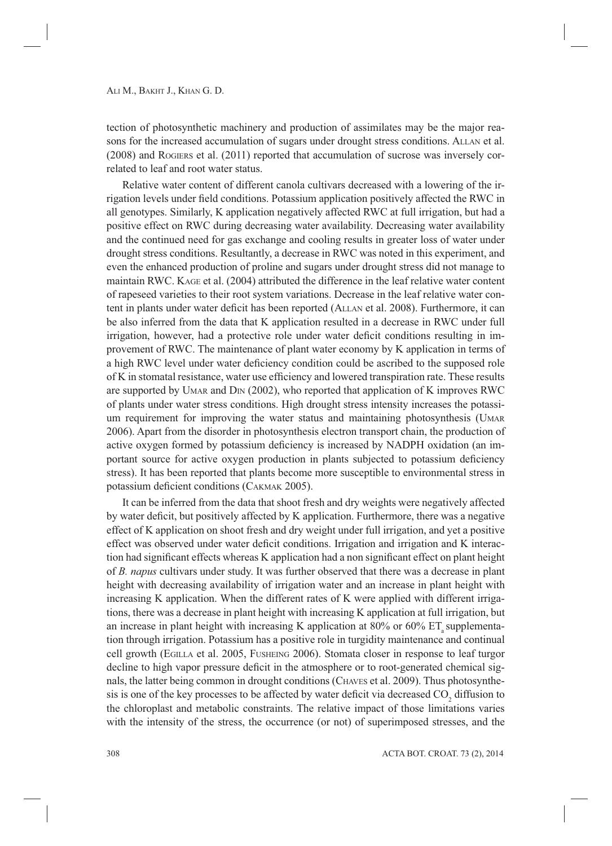tection of photosynthetic machinery and production of assimilates may be the major reasons for the increased accumulation of sugars under drought stress conditions. ALLAN et al. (2008) and ROGIERS et al. (2011) reported that accumulation of sucrose was inversely correlated to leaf and root water status.

Relative water content of different canola cultivars decreased with a lowering of the irrigation levels under field conditions. Potassium application positively affected the RWC in all genotypes. Similarly, K application negatively affected RWC at full irrigation, but had a positive effect on RWC during decreasing water availability. Decreasing water availability and the continued need for gas exchange and cooling results in greater loss of water under drought stress conditions. Resultantly, a decrease in RWC was noted in this experiment, and even the enhanced production of proline and sugars under drought stress did not manage to maintain RWC. KAGE et al. (2004) attributed the difference in the leaf relative water content of rapeseed varieties to their root system variations. Decrease in the leaf relative water content in plants under water deficit has been reported (ALLAN et al. 2008). Furthermore, it can be also inferred from the data that K application resulted in a decrease in RWC under full irrigation, however, had a protective role under water deficit conditions resulting in improvement of RWC. The maintenance of plant water economy by K application in terms of a high RWC level under water deficiency condition could be ascribed to the supposed role of K in stomatal resistance, water use efficiency and lowered transpiration rate. These results are supported by UMAR and DIN (2002), who reported that application of K improves RWC of plants under water stress conditions. High drought stress intensity increases the potassium requirement for improving the water status and maintaining photosynthesis (UMAR 2006). Apart from the disorder in photosynthesis electron transport chain, the production of active oxygen formed by potassium deficiency is increased by NADPH oxidation (an important source for active oxygen production in plants subjected to potassium deficiency stress). It has been reported that plants become more susceptible to environmental stress in potassium deficient conditions (CAKMAK 2005).

It can be inferred from the data that shoot fresh and dry weights were negatively affected by water deficit, but positively affected by K application. Furthermore, there was a negative effect of K application on shoot fresh and dry weight under full irrigation, and yet a positive effect was observed under water deficit conditions. Irrigation and irrigation and K interaction had significant effects whereas K application had a non significant effect on plant height of *B. napus* cultivars under study. It was further observed that there was a decrease in plant height with decreasing availability of irrigation water and an increase in plant height with increasing K application. When the different rates of K were applied with different irrigations, there was a decrease in plant height with increasing K application at full irrigation, but an increase in plant height with increasing K application at 80% or 60%  $ET$  supplementation through irrigation. Potassium has a positive role in turgidity maintenance and continual cell growth (EGILLA et al. 2005, FUSHEING 2006). Stomata closer in response to leaf turgor decline to high vapor pressure deficit in the atmosphere or to root-generated chemical signals, the latter being common in drought conditions (CHAVES et al. 2009). Thus photosynthesis is one of the key processes to be affected by water deficit via decreased  $CO<sub>2</sub>$  diffusion to the chloroplast and metabolic constraints. The relative impact of those limitations varies with the intensity of the stress, the occurrence (or not) of superimposed stresses, and the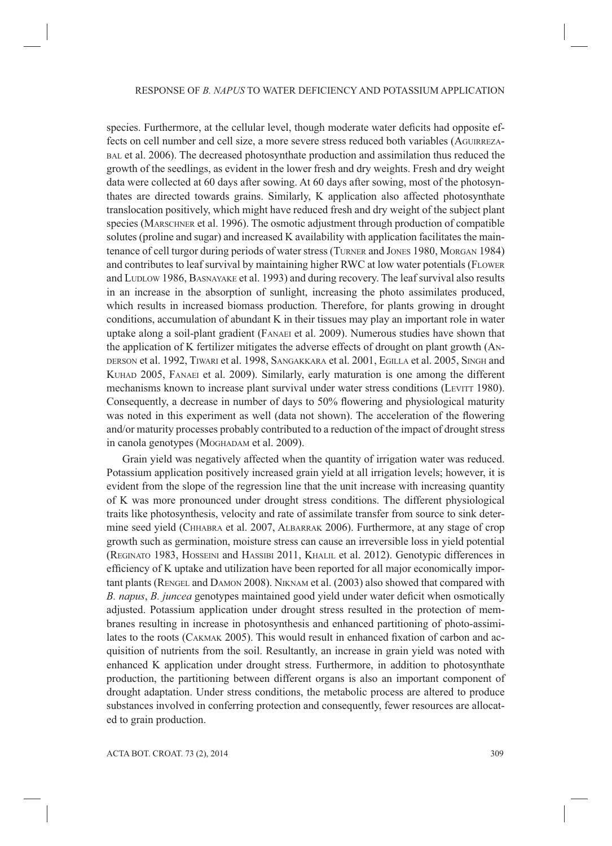species. Furthermore, at the cellular level, though moderate water deficits had opposite effects on cell number and cell size, a more severe stress reduced both variables (AGUIRREZA-BAL et al. 2006). The decreased photosynthate production and assimilation thus reduced the growth of the seedlings, as evident in the lower fresh and dry weights. Fresh and dry weight data were collected at 60 days after sowing. At 60 days after sowing, most of the photosynthates are directed towards grains. Similarly, K application also affected photosynthate translocation positively, which might have reduced fresh and dry weight of the subject plant species (MARSCHNER et al. 1996). The osmotic adjustment through production of compatible solutes (proline and sugar) and increased K availability with application facilitates the maintenance of cell turgor during periods of water stress (TURNER and JONES 1980, MORGAN 1984) and contributes to leaf survival by maintaining higher RWC at low water potentials (FLOWER and LUDLOW 1986, BASNAYAKE et al. 1993) and during recovery. The leaf survival also results in an increase in the absorption of sunlight, increasing the photo assimilates produced, which results in increased biomass production. Therefore, for plants growing in drought conditions, accumulation of abundant K in their tissues may play an important role in water uptake along a soil-plant gradient (FANAEI et al. 2009). Numerous studies have shown that the application of K fertilizer mitigates the adverse effects of drought on plant growth (AN-DERSON et al. 1992, TIWARI et al. 1998, SANGAKKARA et al. 2001, EGILLA et al. 2005, SINGH and KUHAD 2005, FANAEI et al. 2009). Similarly, early maturation is one among the different mechanisms known to increase plant survival under water stress conditions (LEVITT 1980). Consequently, a decrease in number of days to 50% flowering and physiological maturity was noted in this experiment as well (data not shown). The acceleration of the flowering and/or maturity processes probably contributed to a reduction of the impact of drought stress in canola genotypes (MOGHADAM et al. 2009).

Grain yield was negatively affected when the quantity of irrigation water was reduced. Potassium application positively increased grain yield at all irrigation levels; however, it is evident from the slope of the regression line that the unit increase with increasing quantity of K was more pronounced under drought stress conditions. The different physiological traits like photosynthesis, velocity and rate of assimilate transfer from source to sink determine seed yield (CHHABRA et al. 2007, ALBARRAK 2006). Furthermore, at any stage of crop growth such as germination, moisture stress can cause an irreversible loss in yield potential (REGINATO 1983, HOSSEINI and HASSIBI 2011, KHALIL et al. 2012). Genotypic differences in efficiency of K uptake and utilization have been reported for all major economically important plants (RENGEL and DAMON 2008). NIKNAM et al. (2003) also showed that compared with *B. napus, B. juncea* genotypes maintained good yield under water deficit when osmotically adjusted. Potassium application under drought stress resulted in the protection of membranes resulting in increase in photosynthesis and enhanced partitioning of photo-assimilates to the roots (CAKMAK 2005). This would result in enhanced fixation of carbon and acquisition of nutrients from the soil. Resultantly, an increase in grain yield was noted with enhanced K application under drought stress. Furthermore, in addition to photosynthate production, the partitioning between different organs is also an important component of drought adaptation. Under stress conditions, the metabolic process are altered to produce substances involved in conferring protection and consequently, fewer resources are allocated to grain production.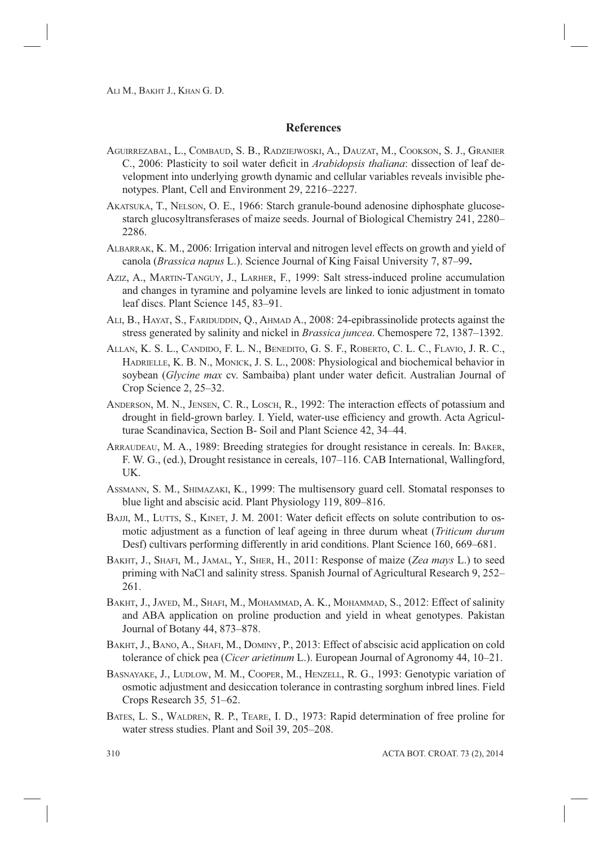# **References**

- AGUIRREZABAL, L., COMBAUD, S. B., RADZIEJWOSKI, A., DAUZAT, M., COOKSON, S. J., GRANIER C., 2006: Plasticity to soil water deficit in *Arabidopsis thaliana*: dissection of leaf development into underlying growth dynamic and cellular variables reveals invisible phenotypes. Plant, Cell and Environment 29, 2216–2227.
- AKATSUKA, T., NELSON, O. E., 1966: Starch granule-bound adenosine diphosphate glucosestarch glucosyltransferases of maize seeds. Journal of Biological Chemistry 241, 2280– 2286.
- ALBARRAK, K. M., 2006: Irrigation interval and nitrogen level effects on growth and yield of canola (*Brassica napus* L.). Science Journal of King Faisal University 7, 87–99**.**
- AZIZ, A., MARTIN-TANGUY, J., LARHER, F., 1999: Salt stress-induced proline accumulation and changes in tyramine and polyamine levels are linked to ionic adjustment in tomato leaf discs. Plant Science 145, 83–91.
- ALI, B., HAYAT, S., FARIDUDDIN, Q., AHMAD A., 2008: 24-epibrassinolide protects against the stress generated by salinity and nickel in *Brassica juncea*. Chemospere 72, 1387–1392.
- ALLAN, K. S. L., CANDIDO, F. L. N., BENEDITO, G. S. F., ROBERTO, C. L. C., FLAVIO, J. R. C., HADRIELLE, K. B. N., MONICK, J. S. L., 2008: Physiological and biochemical behavior in soybean (*Glycine max* cv. Sambaiba) plant under water deficit. Australian Journal of Crop Science 2, 25–32.
- ANDERSON, M. N., JENSEN, C. R., LOSCH, R., 1992: The interaction effects of potassium and drought in field-grown barley. I. Yield, water-use efficiency and growth. Acta Agriculturae Scandinavica, Section B- Soil and Plant Science 42, 34–44.
- ARRAUDEAU, M. A., 1989: Breeding strategies for drought resistance in cereals. In: BAKER, F. W. G., (ed.), Drought resistance in cereals, 107–116. CAB International, Wallingford, UK.
- ASSMANN, S. M., SHIMAZAKI, K., 1999: The multisensory guard cell. Stomatal responses to blue light and abscisic acid. Plant Physiology 119, 809–816.
- BAJJI, M., LUTTS, S., KINET, J. M. 2001: Water deficit effects on solute contribution to osmotic adjustment as a function of leaf ageing in three durum wheat (*Triticum durum* Desf) cultivars performing differently in arid conditions. Plant Science 160, 669–681.
- BAKHT, J., SHAFI, M., JAMAL, Y., SHER, H., 2011: Response of maize (*Zea mays* L.) to seed priming with NaCl and salinity stress. Spanish Journal of Agricultural Research 9, 252– 261.
- BAKHT, J., JAVED, M., SHAFI, M., MOHAMMAD, A. K., MOHAMMAD, S., 2012: Effect of salinity and ABA application on proline production and yield in wheat genotypes. Pakistan Journal of Botany 44, 873–878.
- BAKHT, J., BANO, A., SHAFI, M., DOMINY, P., 2013: Effect of abscisic acid application on cold tolerance of chick pea (*Cicer arietinum* L.). European Journal of Agronomy 44, 10–21.
- BASNAYAKE, J., LUDLOW, M. M., COOPER, M., HENZELL, R. G., 1993: Genotypic variation of osmotic adjustment and desiccation tolerance in contrasting sorghum inbred lines. Field Crops Research 35*,* 51–62.
- BATES, L. S., WALDREN, R. P., TEARE, I. D., 1973: Rapid determination of free proline for water stress studies. Plant and Soil 39, 205–208.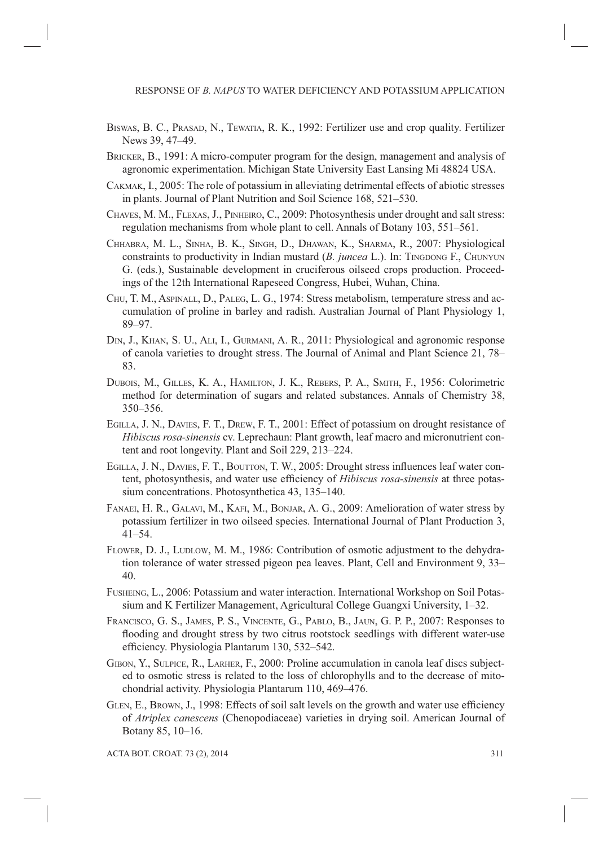- BISWAS, B. C., PRASAD, N., TEWATIA, R. K., 1992: Fertilizer use and crop quality. Fertilizer News 39, 47–49.
- BRICKER, B., 1991: A micro-computer program for the design, management and analysis of agronomic experimentation. Michigan State University East Lansing Mi 48824 USA.
- CAKMAK, I., 2005: The role of potassium in alleviating detrimental effects of abiotic stresses in plants. Journal of Plant Nutrition and Soil Science 168, 521–530.
- CHAVES, M. M., FLEXAS, J., PINHEIRO, C., 2009: Photosynthesis under drought and salt stress: regulation mechanisms from whole plant to cell. Annals of Botany 103, 551–561.
- CHHABRA, M. L., SINHA, B. K., SINGH, D., DHAWAN, K., SHARMA, R., 2007: Physiological constraints to productivity in Indian mustard (*B. juncea L.*). In: TINGDONG F., CHUNYUN G. (eds.), Sustainable development in cruciferous oilseed crops production. Proceedings of the 12th International Rapeseed Congress, Hubei, Wuhan, China.
- CHU, T. M., ASPINALL, D., PALEG, L. G., 1974: Stress metabolism, temperature stress and accumulation of proline in barley and radish. Australian Journal of Plant Physiology 1, 89–97.
- DIN, J., KHAN, S. U., ALI, I., GURMANI, A. R., 2011: Physiological and agronomic response of canola varieties to drought stress. The Journal of Animal and Plant Science 21, 78– 83.
- DUBOIS, M., GILLES, K. A., HAMILTON, J. K., REBERS, P. A., SMITH, F., 1956: Colorimetric method for determination of sugars and related substances. Annals of Chemistry 38, 350–356.
- EGILLA, J. N., DAVIES, F. T., DREW, F. T., 2001: Effect of potassium on drought resistance of *Hibiscus rosa-sinensis* cv. Leprechaun: Plant growth, leaf macro and micronutrient content and root longevity. Plant and Soil 229, 213–224.
- EGILLA, J. N., DAVIES, F. T., BOUTTON, T. W., 2005: Drought stress influences leaf water content, photosynthesis, and water use efficiency of *Hibiscus rosa-sinensis* at three potassium concentrations. Photosynthetica 43, 135–140.
- FANAEI, H. R., GALAVI, M., KAFI, M., BONJAR, A. G., 2009: Amelioration of water stress by potassium fertilizer in two oilseed species. International Journal of Plant Production 3, 41–54.
- FLOWER, D. J., LUDLOW, M. M., 1986: Contribution of osmotic adjustment to the dehydration tolerance of water stressed pigeon pea leaves. Plant, Cell and Environment 9, 33– 40.
- FUSHEING, L., 2006: Potassium and water interaction. International Workshop on Soil Potassium and K Fertilizer Management, Agricultural College Guangxi University, 1–32.
- FRANCISCO, G. S., JAMES, P. S., VINCENTE, G., PABLO, B., JAUN, G. P. P., 2007: Responses to flooding and drought stress by two citrus rootstock seedlings with different water-use efficiency. Physiologia Plantarum 130, 532–542.
- GIBON, Y., SULPICE, R., LARHER, F., 2000: Proline accumulation in canola leaf discs subjected to osmotic stress is related to the loss of chlorophylls and to the decrease of mitochondrial activity. Physiologia Plantarum 110, 469–476.
- GLEN, E., BROWN, J., 1998: Effects of soil salt levels on the growth and water use efficiency of *Atriplex canescens* (Chenopodiaceae) varieties in drying soil. American Journal of Botany 85, 10–16.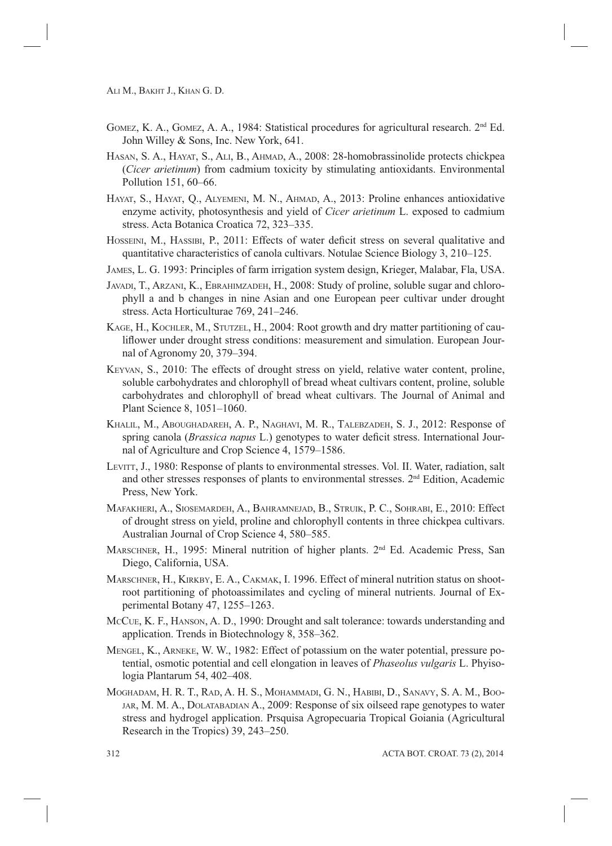- GOMEZ, K. A., GOMEZ, A. A., 1984: Statistical procedures for agricultural research.  $2<sup>nd</sup> Ed$ . John Willey & Sons, Inc. New York, 641.
- HASAN, S. A., HAYAT, S., ALI, B., AHMAD, A., 2008: 28-homobrassinolide protects chickpea (*Cicer arietinum*) from cadmium toxicity by stimulating antioxidants. Environmental Pollution 151, 60–66.
- HAYAT, S., HAYAT, Q., ALYEMENI, M. N., AHMAD, A., 2013: Proline enhances antioxidative enzyme activity, photosynthesis and yield of *Cicer arietinum* L. exposed to cadmium stress. Acta Botanica Croatica 72, 323–335.
- HOSSEINI, M., HASSIBI, P., 2011: Effects of water deficit stress on several qualitative and quantitative characteristics of canola cultivars. Notulae Science Biology 3, 210–125.
- JAMES, L. G. 1993: Principles of farm irrigation system design, Krieger, Malabar, Fla, USA.
- JAVADI, T., ARZANI, K., EBRAHIMZADEH, H., 2008: Study of proline, soluble sugar and chlorophyll a and b changes in nine Asian and one European peer cultivar under drought stress. Acta Horticulturae 769, 241–246.
- KAGE, H., KOCHLER, M., STUTZEL, H., 2004: Root growth and dry matter partitioning of cauliflower under drought stress conditions: measurement and simulation. European Journal of Agronomy 20, 379–394.
- KEYVAN, S., 2010: The effects of drought stress on yield, relative water content, proline, soluble carbohydrates and chlorophyll of bread wheat cultivars content, proline, soluble carbohydrates and chlorophyll of bread wheat cultivars. The Journal of Animal and Plant Science 8, 1051–1060.
- KHALIL, M., ABOUGHADAREH, A. P., NAGHAVI, M. R., TALEBZADEH, S. J., 2012: Response of spring canola (*Brassica napus* L.) genotypes to water deficit stress. International Journal of Agriculture and Crop Science 4, 1579–1586.
- LEVITT, J., 1980: Response of plants to environmental stresses. Vol. II. Water, radiation, salt and other stresses responses of plants to environmental stresses. 2nd Edition, Academic Press, New York.
- MAFAKHERI, A., SIOSEMARDEH, A., BAHRAMNEJAD, B., STRUIK, P. C., SOHRABI, E., 2010: Effect of drought stress on yield, proline and chlorophyll contents in three chickpea cultivars. Australian Journal of Crop Science 4, 580–585.
- MARSCHNER, H., 1995: Mineral nutrition of higher plants. 2nd Ed. Academic Press, San Diego, California, USA.
- MARSCHNER, H., KIRKBY, E. A., CAKMAK, I. 1996. Effect of mineral nutrition status on shootroot partitioning of photoassimilates and cycling of mineral nutrients. Journal of Experimental Botany 47, 1255–1263.
- MCCUE, K. F., HANSON, A. D., 1990: Drought and salt tolerance: towards understanding and application. Trends in Biotechnology 8, 358–362.
- MENGEL, K., ARNEKE, W. W., 1982: Effect of potassium on the water potential, pressure potential, osmotic potential and cell elongation in leaves of *Phaseolus vulgaris* L. Phyisologia Plantarum 54, 402–408.
- MOGHADAM, H. R. T., RAD, A. H. S., MOHAMMADI, G. N., HABIBI, D., SANAVY, S. A. M., BOO-JAR, M. M. A., DOLATABADIAN A., 2009: Response of six oilseed rape genotypes to water stress and hydrogel application. Prsquisa Agropecuaria Tropical Goiania (Agricultural Research in the Tropics) 39, 243–250.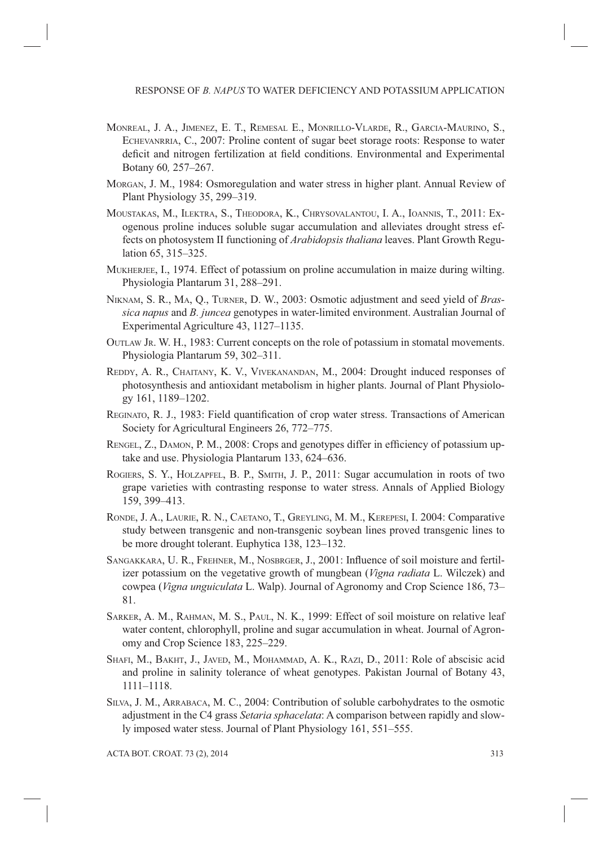- MONREAL, J. A., JIMENEZ, E. T., REMESAL E., MONRILLO-VLARDE, R., GARCIA-MAURINO, S., ECHEVANRRIA, C., 2007: Proline content of sugar beet storage roots: Response to water deficit and nitrogen fertilization at field conditions. Environmental and Experimental Botany 60*,* 257–267.
- MORGAN, J. M., 1984: Osmoregulation and water stress in higher plant. Annual Review of Plant Physiology 35, 299–319.
- MOUSTAKAS, M., ILEKTRA, S., THEODORA, K., CHRYSOVALANTOU, I. A., IOANNIS, T., 2011: Exogenous proline induces soluble sugar accumulation and alleviates drought stress effects on photosystem II functioning of *Arabidopsis thaliana* leaves. Plant Growth Regulation 65, 315–325.
- MUKHERJEE, I., 1974. Effect of potassium on proline accumulation in maize during wilting. Physiologia Plantarum 31, 288–291.
- NIKNAM, S. R., MA, Q., TURNER, D. W., 2003: Osmotic adjustment and seed yield of *Brassica napus* and *B. juncea* genotypes in water-limited environment. Australian Journal of Experimental Agriculture 43, 1127–1135.
- OUTLAW JR. W. H., 1983: Current concepts on the role of potassium in stomatal movements. Physiologia Plantarum 59, 302–311.
- REDDY, A. R., CHAITANY, K. V., VIVEKANANDAN, M., 2004: Drought induced responses of photosynthesis and antioxidant metabolism in higher plants. Journal of Plant Physiology 161, 1189–1202.
- REGINATO, R. J., 1983: Field quantification of crop water stress. Transactions of American Society for Agricultural Engineers 26, 772–775.
- RENGEL, Z., DAMON, P. M., 2008: Crops and genotypes differ in efficiency of potassium uptake and use. Physiologia Plantarum 133, 624–636.
- ROGIERS, S. Y., HOLZAPFEL, B. P., SMITH, J. P., 2011: Sugar accumulation in roots of two grape varieties with contrasting response to water stress. Annals of Applied Biology 159, 399–413.
- RONDE, J. A., LAURIE, R. N., CAETANO, T., GREYLING, M. M., KEREPESI, I. 2004: Comparative study between transgenic and non-transgenic soybean lines proved transgenic lines to be more drought tolerant. Euphytica 138, 123–132.
- SANGAKKARA, U. R., FREHNER, M., NOSBRGER, J., 2001: Influence of soil moisture and fertilizer potassium on the vegetative growth of mungbean (*Vigna radiata* L. Wilczek) and cowpea (*Vigna unguiculata* L. Walp). Journal of Agronomy and Crop Science 186, 73– 81.
- SARKER, A. M., RAHMAN, M. S., PAUL, N. K., 1999: Effect of soil moisture on relative leaf water content, chlorophyll, proline and sugar accumulation in wheat. Journal of Agronomy and Crop Science 183, 225–229.
- SHAFI, M., BAKHT, J., JAVED, M., MOHAMMAD, A. K., RAZI, D., 2011: Role of abscisic acid and proline in salinity tolerance of wheat genotypes. Pakistan Journal of Botany 43, 1111–1118.
- SILVA, J. M., ARRABACA, M. C., 2004: Contribution of soluble carbohydrates to the osmotic adjustment in the C4 grass *Setaria sphacelata*: A comparison between rapidly and slowly imposed water stess. Journal of Plant Physiology 161, 551–555.